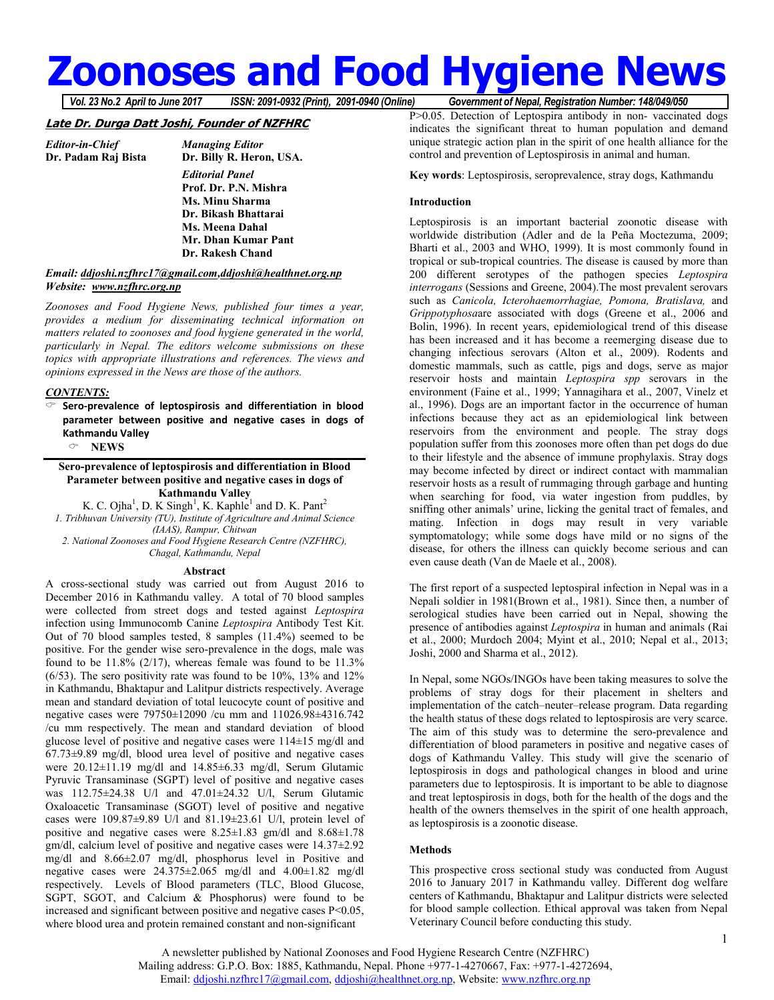# **Zoonoses and Food Hygiene News**

*Vol. 23 No.2 April to June 2017 ISSN: 2091-0932 (Print), 2091-0940 (Online) Government of Nepal, Registration Number: 148/049/050*

# **Late Dr. Durga Datt Joshi, Founder of NZFHRC**

*Editor-in-Chief Managing Editor*  **Dr. Billy R. Heron, USA.**  *Editorial Panel*   **Prof. Dr. P.N. Mishra Ms. Minu Sharma Dr. Bikash Bhattarai Ms. Meena Dahal Mr. Dhan Kumar Pant Dr. Rakesh Chand** 

# *Email: ddjoshi.nzfhrc17@gmail.com,ddjoshi@healthnet.org.np Website: www.nzfhrc.org.np*

*Zoonoses and Food Hygiene News, published four times a year, provides a medium for disseminating technical information on matters related to zoonoses and food hygiene generated in the world, particularly in Nepal. The editors welcome submissions on these topics with appropriate illustrations and references. The views and opinions expressed in the News are those of the authors.* 

# *CONTENTS:*

 **Sero-prevalence of leptospirosis and differentiation in blood parameter between positive and negative cases in dogs of Kathmandu Valley NEWS** 

# **Sero-prevalence of leptospirosis and differentiation in Blood Parameter between positive and negative cases in dogs of Kathmandu Valley**

K. C. Ojha<sup>1</sup>, D. K Singh<sup>1</sup>, K. Kaphle<sup>1</sup> and D. K. Pant<sup>2</sup> *1. Tribhuvan University (TU), Institute of Agriculture and Animal Science (IAAS), Rampur, Chitwan 2. National Zoonoses and Food Hygiene Research Centre (NZFHRC), Chagal, Kathmandu, Nepal* 

#### **Abstract**

A cross-sectional study was carried out from August 2016 to December 2016 in Kathmandu valley. A total of 70 blood samples were collected from street dogs and tested against *Leptospira* infection using Immunocomb Canine *Leptospira* Antibody Test Kit. Out of 70 blood samples tested, 8 samples (11.4%) seemed to be positive. For the gender wise sero-prevalence in the dogs, male was found to be  $11.8\%$  (2/17), whereas female was found to be  $11.3\%$  $(6/53)$ . The sero positivity rate was found to be 10%, 13% and 12% in Kathmandu, Bhaktapur and Lalitpur districts respectively. Average mean and standard deviation of total leucocyte count of positive and negative cases were 79750±12090 /cu mm and 11026.98±4316.742 /cu mm respectively. The mean and standard deviation of blood glucose level of positive and negative cases were 114±15 mg/dl and  $67.73\pm9.89$  mg/dl, blood urea level of positive and negative cases were 20.12±11.19 mg/dl and 14.85±6.33 mg/dl, Serum Glutamic Pyruvic Transaminase (SGPT) level of positive and negative cases was 112.75±24.38 U/l and 47.01±24.32 U/l, Serum Glutamic Oxaloacetic Transaminase (SGOT) level of positive and negative cases were 109.87±9.89 U/l and 81.19±23.61 U/l, protein level of positive and negative cases were 8.25±1.83 gm/dl and 8.68±1.78 gm/dl, calcium level of positive and negative cases were 14.37±2.92 mg/dl and 8.66±2.07 mg/dl, phosphorus level in Positive and negative cases were 24.375±2.065 mg/dl and 4.00±1.82 mg/dl respectively. Levels of Blood parameters (TLC, Blood Glucose, SGPT, SGOT, and Calcium & Phosphorus) were found to be increased and significant between positive and negative cases P<0.05, where blood urea and protein remained constant and non-significant

P>0.05. Detection of Leptospira antibody in non-vaccinated dogs indicates the significant threat to human population and demand unique strategic action plan in the spirit of one health alliance for the control and prevention of Leptospirosis in animal and human.

**Key words**: Leptospirosis, seroprevalence, stray dogs, Kathmandu

# **Introduction**

Leptospirosis is an important bacterial zoonotic disease with worldwide distribution (Adler and de la Peña Moctezuma, 2009; Bharti et al., 2003 and WHO, 1999). It is most commonly found in tropical or sub-tropical countries. The disease is caused by more than 200 different serotypes of the pathogen species *Leptospira interrogans* (Sessions and Greene, 2004).The most prevalent serovars such as *Canicola, Icterohaemorrhagiae, Pomona, Bratislava,* and *Grippotyphosa*are associated with dogs (Greene et al., 2006 and Bolin, 1996). In recent years, epidemiological trend of this disease has been increased and it has become a reemerging disease due to changing infectious serovars (Alton et al., 2009). Rodents and domestic mammals, such as cattle, pigs and dogs, serve as major reservoir hosts and maintain *Leptospira spp* serovars in the environment (Faine et al., 1999; Yannagihara et al., 2007, Vinelz et al., 1996). Dogs are an important factor in the occurrence of human infections because they act as an epidemiological link between reservoirs from the environment and people. The stray dogs population suffer from this zoonoses more often than pet dogs do due to their lifestyle and the absence of immune prophylaxis. Stray dogs may become infected by direct or indirect contact with mammalian reservoir hosts as a result of rummaging through garbage and hunting when searching for food, via water ingestion from puddles, by sniffing other animals' urine, licking the genital tract of females, and mating. Infection in dogs may result in very variable symptomatology; while some dogs have mild or no signs of the disease, for others the illness can quickly become serious and can even cause death (Van de Maele et al., 2008).

The first report of a suspected leptospiral infection in Nepal was in a Nepali soldier in 1981(Brown et al., 1981). Since then, a number of serological studies have been carried out in Nepal, showing the presence of antibodies against *Leptospira* in human and animals (Rai et al., 2000; Murdoch 2004; Myint et al., 2010; Nepal et al., 2013; Joshi, 2000 and Sharma et al., 2012).

In Nepal, some NGOs/INGOs have been taking measures to solve the problems of stray dogs for their placement in shelters and implementation of the catch–neuter–release program. Data regarding the health status of these dogs related to leptospirosis are very scarce. The aim of this study was to determine the sero-prevalence and differentiation of blood parameters in positive and negative cases of dogs of Kathmandu Valley. This study will give the scenario of leptospirosis in dogs and pathological changes in blood and urine parameters due to leptospirosis. It is important to be able to diagnose and treat leptospirosis in dogs, both for the health of the dogs and the health of the owners themselves in the spirit of one health approach, as leptospirosis is a zoonotic disease.

# **Methods**

This prospective cross sectional study was conducted from August 2016 to January 2017 in Kathmandu valley. Different dog welfare centers of Kathmandu, Bhaktapur and Lalitpur districts were selected for blood sample collection. Ethical approval was taken from Nepal Veterinary Council before conducting this study.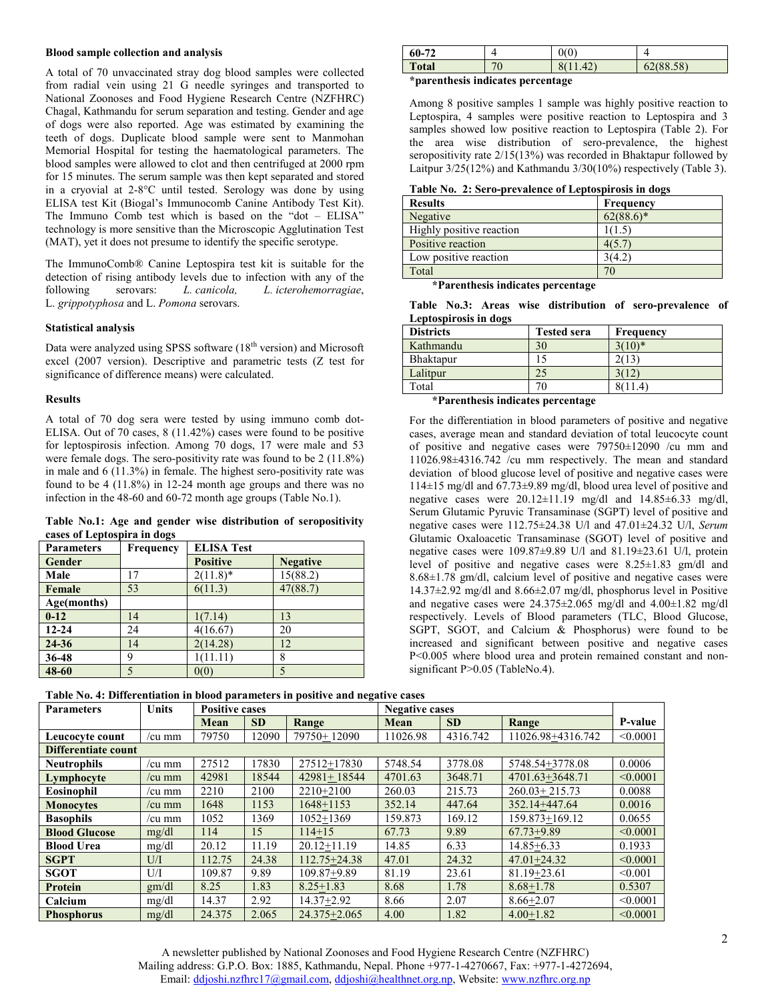#### **Blood sample collection and analysis**

A total of 70 unvaccinated stray dog blood samples were collected from radial vein using 21 G needle syringes and transported to National Zoonoses and Food Hygiene Research Centre (NZFHRC) Chagal, Kathmandu for serum separation and testing. Gender and age of dogs were also reported. Age was estimated by examining the teeth of dogs. Duplicate blood sample were sent to Manmohan Memorial Hospital for testing the haematological parameters. The blood samples were allowed to clot and then centrifuged at 2000 rpm for 15 minutes. The serum sample was then kept separated and stored in a cryovial at 2-8°C until tested. Serology was done by using ELISA test Kit (Biogal's Immunocomb Canine Antibody Test Kit). The Immuno Comb test which is based on the "dot – ELISA" technology is more sensitive than the Microscopic Agglutination Test (MAT), yet it does not presume to identify the specific serotype.

The ImmunoComb® Canine Leptospira test kit is suitable for the detection of rising antibody levels due to infection with any of the following serovars: *L. canicola, L. icterohemorragiae*, following serovars: *L. canicola, L. icterohemorragiae*, L. *grippotyphosa* and L. *Pomona* serovars.

#### **Statistical analysis**

Data were analyzed using SPSS software (18<sup>th</sup> version) and Microsoft excel (2007 version). Descriptive and parametric tests (Z test for significance of difference means) were calculated.

#### **Results**

A total of 70 dog sera were tested by using immuno comb dot-ELISA. Out of 70 cases, 8 (11.42%) cases were found to be positive for leptospirosis infection. Among 70 dogs, 17 were male and 53 were female dogs. The sero-positivity rate was found to be 2 (11.8%) in male and 6 (11.3%) in female. The highest sero-positivity rate was found to be 4 (11.8%) in 12-24 month age groups and there was no infection in the 48-60 and 60-72 month age groups (Table No.1).

**Table No.1: Age and gender wise distribution of seropositivity cases of Leptospira in dogs** 

| <b>Parameters</b> | Frequency | <b>ELISA Test</b> |                 |  |  |
|-------------------|-----------|-------------------|-----------------|--|--|
| Gender            |           | <b>Positive</b>   | <b>Negative</b> |  |  |
| Male              | 17        | $2(11.8)^*$       | 15(88.2)        |  |  |
| Female            | 53        | 6(11.3)           | 47(88.7)        |  |  |
| Age(months)       |           |                   |                 |  |  |
| $0 - 12$          | 14        | 1(7.14)           | 13              |  |  |
| $12 - 24$         | 24        | 4(16.67)          | 20              |  |  |
| 24-36             | 14        | 2(14.28)          | 12              |  |  |
| 36-48             | 9         | 1(11.11)          | 8               |  |  |
| 48-60             |           | 0(0)              | 5               |  |  |

| $60-7$       |                    | 0(0)            |           |
|--------------|--------------------|-----------------|-----------|
| <b>Total</b> | $\neg \wedge$<br>v | $\Lambda$<br>τ∠ | 62(88.58) |

#### **\*parenthesis indicates percentage**

Among 8 positive samples 1 sample was highly positive reaction to Leptospira, 4 samples were positive reaction to Leptospira and 3 samples showed low positive reaction to Leptospira (Table 2). For the area wise distribution of sero-prevalence, the highest seropositivity rate  $2/15(13%)$  was recorded in Bhaktapur followed by Laitpur  $3/25(12\%)$  and Kathmandu  $3/30(10\%)$  respectively (Table 3).

| Table No. 2: Sero-prevalence of Leptospirosis in dogs |  |  |  |  |  |  |  |
|-------------------------------------------------------|--|--|--|--|--|--|--|
|-------------------------------------------------------|--|--|--|--|--|--|--|

| <b>Results</b>           | Frequency    |
|--------------------------|--------------|
| Negative                 | $62(88.6)^*$ |
| Highly positive reaction | (1.5,        |
| Positive reaction        | 4(5.7)       |
| Low positive reaction    | 364.2        |
| Total                    | 70           |

**\*Parenthesis indicates percentage** 

|  |                       |  | Table No.3: Areas wise distribution of sero-prevalence of |  |
|--|-----------------------|--|-----------------------------------------------------------|--|
|  | Leptospirosis in dogs |  |                                                           |  |

| <b>Districts</b> | <b>Tested sera</b> | Frequency |
|------------------|--------------------|-----------|
| Kathmandu        | 30                 | $3(10)*$  |
| Bhaktapur        |                    |           |
| Lalitpur         | 25                 |           |
| Total            | 70                 | 11.4,     |

**\*Parenthesis indicates percentage** 

For the differentiation in blood parameters of positive and negative cases, average mean and standard deviation of total leucocyte count of positive and negative cases were 79750±12090 /cu mm and 11026.98±4316.742 /cu mm respectively. The mean and standard deviation of blood glucose level of positive and negative cases were 114±15 mg/dl and 67.73±9.89 mg/dl, blood urea level of positive and negative cases were 20.12±11.19 mg/dl and 14.85±6.33 mg/dl, Serum Glutamic Pyruvic Transaminase (SGPT) level of positive and negative cases were 112.75±24.38 U/l and 47.01±24.32 U/l, *Serum*  Glutamic Oxaloacetic Transaminase (SGOT) level of positive and negative cases were 109.87±9.89 U/l and 81.19±23.61 U/l, protein level of positive and negative cases were 8.25±1.83 gm/dl and 8.68±1.78 gm/dl, calcium level of positive and negative cases were 14.37±2.92 mg/dl and 8.66±2.07 mg/dl, phosphorus level in Positive and negative cases were  $24.375\pm2.065$  mg/dl and  $4.00\pm1.82$  mg/dl respectively. Levels of Blood parameters (TLC, Blood Glucose, SGPT, SGOT, and Calcium & Phosphorus) were found to be increased and significant between positive and negative cases P<0.005 where blood urea and protein remained constant and nonsignificant P>0.05 (TableNo.4).

| таріс год та ілікі сипанон ні рібой раганість з ін розні ус ани недаті є сазез |              |                                                |           |                  |          |           |                   |          |
|--------------------------------------------------------------------------------|--------------|------------------------------------------------|-----------|------------------|----------|-----------|-------------------|----------|
| <b>Parameters</b>                                                              | <b>Units</b> | <b>Positive cases</b><br><b>Negative cases</b> |           |                  |          |           |                   |          |
|                                                                                |              | Mean                                           | <b>SD</b> | Range            | Mean     | <b>SD</b> | Range             | P-value  |
| Leucocyte count                                                                | /cu mm       | 79750                                          | 12090     | 79750+12090      | 11026.98 | 4316.742  | 11026.98+4316.742 | < 0.0001 |
| Differentiate count                                                            |              |                                                |           |                  |          |           |                   |          |
| <b>Neutrophils</b>                                                             | /cu mm       | 27512                                          | 17830     | 27512+17830      | 5748.54  | 3778.08   | 5748.54+3778.08   | 0.0006   |
| Lymphocyte                                                                     | /cu mm       | 42981                                          | 18544     | $42981 + 18544$  | 4701.63  | 3648.71   | 4701.63+3648.71   | < 0.0001 |
| Eosinophil                                                                     | /cu mm       | 2210                                           | 2100      | 2210+2100        | 260.03   | 215.73    | $260.03 + 215.73$ | 0.0088   |
| <b>Monocytes</b>                                                               | /cu mm       | 1648                                           | 1153      | $1648 + 1153$    | 352.14   | 447.64    | 352.14+447.64     | 0.0016   |
| <b>Basophils</b>                                                               | /cu mm       | 1052                                           | 1369      | 1052+1369        | 159.873  | 169.12    | 159.873+169.12    | 0.0655   |
| <b>Blood Glucose</b>                                                           | mg/dl        | 114                                            | 15        | $114 + 15$       | 67.73    | 9.89      | $67.73 + 9.89$    | < 0.0001 |
| <b>Blood Urea</b>                                                              | mg/dl        | 20.12                                          | 11.19     | $20.12 + 11.19$  | 14.85    | 6.33      | $14.85 + 6.33$    | 0.1933   |
| <b>SGPT</b>                                                                    | U/I          | 112.75                                         | 24.38     | $112.75 + 24.38$ | 47.01    | 24.32     | $47.01 + 24.32$   | < 0.0001 |
| <b>SGOT</b>                                                                    | U/I          | 109.87                                         | 9.89      | 109.87+9.89      | 81.19    | 23.61     | $81.19 + 23.61$   | < 0.001  |
| Protein                                                                        | gm/dl        | 8.25                                           | 1.83      | $8.25 + 1.83$    | 8.68     | 1.78      | $8.68 + 1.78$     | 0.5307   |
| Calcium                                                                        | mg/dl        | 14.37                                          | 2.92      | 14.37+2.92       | 8.66     | 2.07      | $8.66 + 2.07$     | < 0.0001 |
| <b>Phosphorus</b>                                                              | mg/dl        | 24.375                                         | 2.065     | $24.375 + 2.065$ | 4.00     | 1.82      | $4.00+1.82$       | < 0.0001 |

**Table No. 4: Differentiation in blood parameters in positive and negative cases**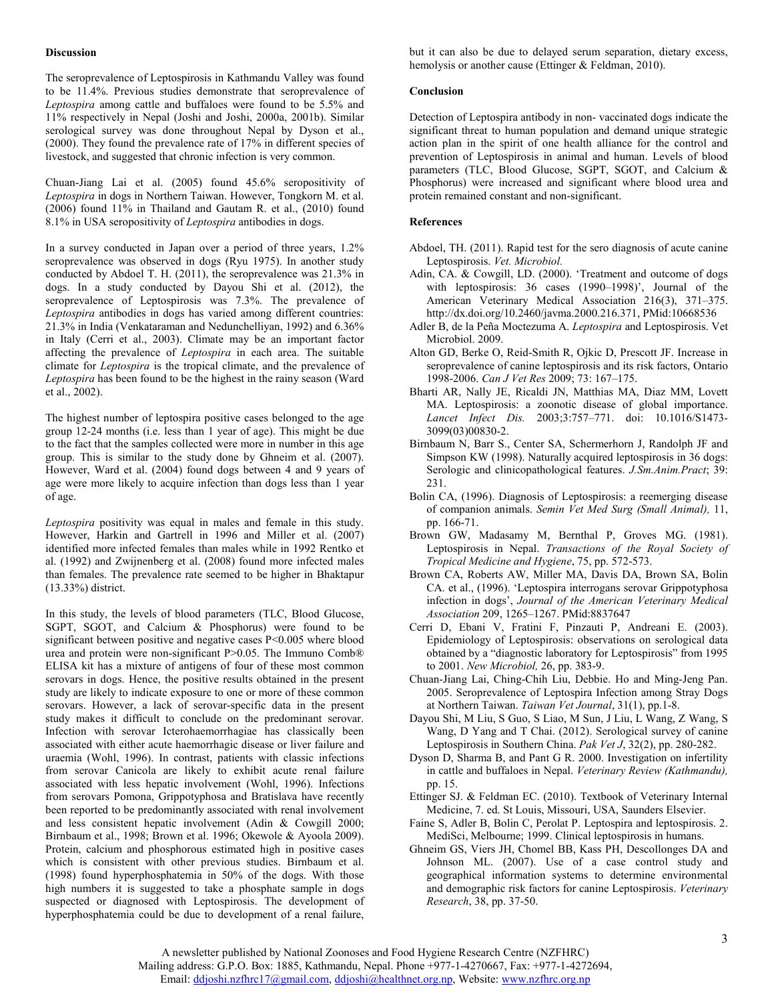#### **Discussion**

The seroprevalence of Leptospirosis in Kathmandu Valley was found to be 11.4%. Previous studies demonstrate that seroprevalence of *Leptospira* among cattle and buffaloes were found to be 5.5% and 11% respectively in Nepal (Joshi and Joshi, 2000a, 2001b). Similar serological survey was done throughout Nepal by Dyson et al., (2000). They found the prevalence rate of 17% in different species of livestock, and suggested that chronic infection is very common.

Chuan-Jiang Lai et al. (2005) found 45.6% seropositivity of *Leptospira* in dogs in Northern Taiwan. However, Tongkorn M. et al. (2006) found 11% in Thailand and Gautam R. et al., (2010) found 8.1% in USA seropositivity of *Leptospira* antibodies in dogs.

In a survey conducted in Japan over a period of three years, 1.2% seroprevalence was observed in dogs (Ryu 1975). In another study conducted by Abdoel T. H. (2011), the seroprevalence was 21.3% in dogs. In a study conducted by Dayou Shi et al. (2012), the seroprevalence of Leptospirosis was 7.3%. The prevalence of *Leptospira* antibodies in dogs has varied among different countries: 21.3% in India (Venkataraman and Nedunchelliyan, 1992) and 6.36% in Italy (Cerri et al., 2003). Climate may be an important factor affecting the prevalence of *Leptospira* in each area. The suitable climate for *Leptospira* is the tropical climate, and the prevalence of *Leptospira* has been found to be the highest in the rainy season (Ward et al., 2002).

The highest number of leptospira positive cases belonged to the age group 12-24 months (i.e. less than 1 year of age). This might be due to the fact that the samples collected were more in number in this age group. This is similar to the study done by Ghneim et al. (2007). However, Ward et al. (2004) found dogs between 4 and 9 years of age were more likely to acquire infection than dogs less than 1 year of age.

*Leptospira* positivity was equal in males and female in this study. However, Harkin and Gartrell in 1996 and Miller et al. (2007) identified more infected females than males while in 1992 Rentko et al. (1992) and Zwijnenberg et al. (2008) found more infected males than females. The prevalence rate seemed to be higher in Bhaktapur (13.33%) district.

In this study, the levels of blood parameters (TLC, Blood Glucose, SGPT, SGOT, and Calcium & Phosphorus) were found to be significant between positive and negative cases P<0.005 where blood urea and protein were non-significant P>0.05. The Immuno Comb® ELISA kit has a mixture of antigens of four of these most common serovars in dogs. Hence, the positive results obtained in the present study are likely to indicate exposure to one or more of these common serovars. However, a lack of serovar-specific data in the present study makes it difficult to conclude on the predominant serovar. Infection with serovar Icterohaemorrhagiae has classically been associated with either acute haemorrhagic disease or liver failure and uraemia (Wohl, 1996). In contrast, patients with classic infections from serovar Canicola are likely to exhibit acute renal failure associated with less hepatic involvement (Wohl, 1996). Infections from serovars Pomona, Grippotyphosa and Bratislava have recently been reported to be predominantly associated with renal involvement and less consistent hepatic involvement (Adin & Cowgill 2000; Birnbaum et al., 1998; Brown et al. 1996; Okewole & Ayoola 2009). Protein, calcium and phosphorous estimated high in positive cases which is consistent with other previous studies. Birnbaum et al. (1998) found hyperphosphatemia in 50% of the dogs. With those high numbers it is suggested to take a phosphate sample in dogs suspected or diagnosed with Leptospirosis. The development of hyperphosphatemia could be due to development of a renal failure,

but it can also be due to delayed serum separation, dietary excess, hemolysis or another cause (Ettinger & Feldman, 2010).

# **Conclusion**

Detection of Leptospira antibody in non- vaccinated dogs indicate the significant threat to human population and demand unique strategic action plan in the spirit of one health alliance for the control and prevention of Leptospirosis in animal and human. Levels of blood parameters (TLC, Blood Glucose, SGPT, SGOT, and Calcium & Phosphorus) were increased and significant where blood urea and protein remained constant and non-significant.

# **References**

- Abdoel, TH. (2011). Rapid test for the sero diagnosis of acute canine Leptospirosis. *Vet. Microbiol.*
- Adin, CA. & Cowgill, LD. (2000). 'Treatment and outcome of dogs with leptospirosis: 36 cases (1990–1998)', Journal of the American Veterinary Medical Association 216(3), 371–375. http://dx.doi.org/10.2460/javma.2000.216.371, PMid:10668536
- Adler B, de la Peña Moctezuma A. *Leptospira* and Leptospirosis. Vet Microbiol. 2009.
- Alton GD, Berke O, Reid-Smith R, Ojkic D, Prescott JF. Increase in seroprevalence of canine leptospirosis and its risk factors, Ontario 1998-2006. *Can J Vet Res* 2009; 73: 167–175.
- Bharti AR, Nally JE, Ricaldi JN, Matthias MA, Diaz MM, Lovett MA. Leptospirosis: a zoonotic disease of global importance. *Lancet Infect Dis.* 2003;3:757–771. doi: 10.1016/S1473- 3099(03)00830-2.
- Birnbaum N, Barr S., Center SA, Schermerhorn J, Randolph JF and Simpson KW (1998). Naturally acquired leptospirosis in 36 dogs: Serologic and clinicopathological features. *J.Sm.Anim.Pract*; 39: 231.
- Bolin CA, (1996). Diagnosis of Leptospirosis: a reemerging disease of companion animals. *Semin Vet Med Surg (Small Animal),* 11, pp. 166-71.
- Brown GW, Madasamy M, Bernthal P, Groves MG. (1981). Leptospirosis in Nepal. *Transactions of the Royal Society of Tropical Medicine and Hygiene*, 75, pp. 572-573.
- Brown CA, Roberts AW, Miller MA, Davis DA, Brown SA, Bolin CA. et al., (1996). 'Leptospira interrogans serovar Grippotyphosa infection in dogs', *Journal of the American Veterinary Medical Association* 209, 1265–1267. PMid:8837647
- Cerri D, Ebani V, Fratini F, Pinzauti P, Andreani E. (2003). Epidemiology of Leptospirosis: observations on serological data obtained by a "diagnostic laboratory for Leptospirosis" from 1995 to 2001. *New Microbiol,* 26, pp. 383-9.
- Chuan-Jiang Lai, Ching-Chih Liu, Debbie. Ho and Ming-Jeng Pan. 2005. Seroprevalence of Leptospira Infection among Stray Dogs at Northern Taiwan. *Taiwan Vet Journal*, 31(1), pp.1-8.
- Dayou Shi, M Liu, S Guo, S Liao, M Sun, J Liu, L Wang, Z Wang, S Wang, D Yang and T Chai. (2012). Serological survey of canine Leptospirosis in Southern China. *Pak Vet J*, 32(2), pp. 280-282.
- Dyson D, Sharma B, and Pant G R. 2000. Investigation on infertility in cattle and buffaloes in Nepal. *Veterinary Review (Kathmandu),* pp. 15.
- Ettinger SJ. & Feldman EC. (2010). Textbook of Veterinary Internal Medicine, 7. ed. St Louis, Missouri, USA, Saunders Elsevier.
- Faine S, Adler B, Bolin C, Perolat P. Leptospira and leptospirosis. 2. MediSci, Melbourne; 1999. Clinical leptospirosis in humans.
- Ghneim GS, Viers JH, Chomel BB, Kass PH, Descollonges DA and Johnson ML. (2007). Use of a case control study and geographical information systems to determine environmental and demographic risk factors for canine Leptospirosis. *Veterinary Research*, 38, pp. 37-50.